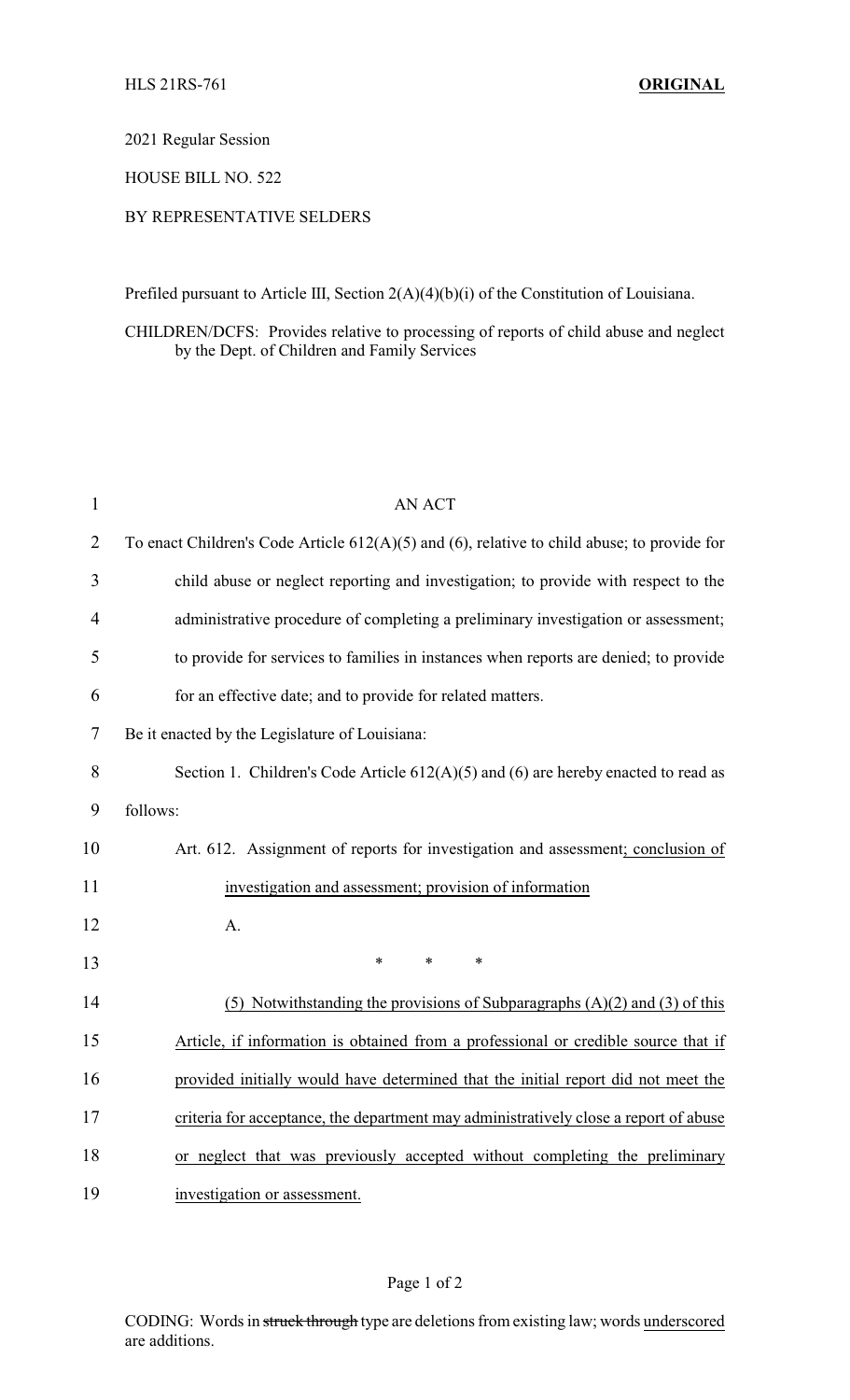#### 2021 Regular Session

## HOUSE BILL NO. 522

### BY REPRESENTATIVE SELDERS

Prefiled pursuant to Article III, Section 2(A)(4)(b)(i) of the Constitution of Louisiana.

### CHILDREN/DCFS: Provides relative to processing of reports of child abuse and neglect by the Dept. of Children and Family Services

| $\mathbf{1}$   | <b>AN ACT</b>                                                                                    |  |  |
|----------------|--------------------------------------------------------------------------------------------------|--|--|
| $\overline{2}$ | To enact Children's Code Article $612(A)(5)$ and $(6)$ , relative to child abuse; to provide for |  |  |
| 3              | child abuse or neglect reporting and investigation; to provide with respect to the               |  |  |
| 4              | administrative procedure of completing a preliminary investigation or assessment;                |  |  |
| 5              | to provide for services to families in instances when reports are denied; to provide             |  |  |
| 6              | for an effective date; and to provide for related matters.                                       |  |  |
| 7              | Be it enacted by the Legislature of Louisiana:                                                   |  |  |
| 8              | Section 1. Children's Code Article $612(A)(5)$ and $(6)$ are hereby enacted to read as           |  |  |
| 9              | follows:                                                                                         |  |  |
| 10             | Art. 612. Assignment of reports for investigation and assessment; conclusion of                  |  |  |
| 11             | investigation and assessment; provision of information                                           |  |  |
| 12             | A.                                                                                               |  |  |
| 13             | $\ast$<br>$\ast$<br>$\ast$                                                                       |  |  |
| 14             | (5) Notwithstanding the provisions of Subparagraphs $(A)(2)$ and $(3)$ of this                   |  |  |
| 15             | Article, if information is obtained from a professional or credible source that if               |  |  |
| 16             | provided initially would have determined that the initial report did not meet the                |  |  |
| 17             | criteria for acceptance, the department may administratively close a report of abuse             |  |  |
| 18             | or neglect that was previously accepted without completing the preliminary                       |  |  |
| 19             | investigation or assessment.                                                                     |  |  |

## Page 1 of 2

CODING: Words in struck through type are deletions from existing law; words underscored are additions.